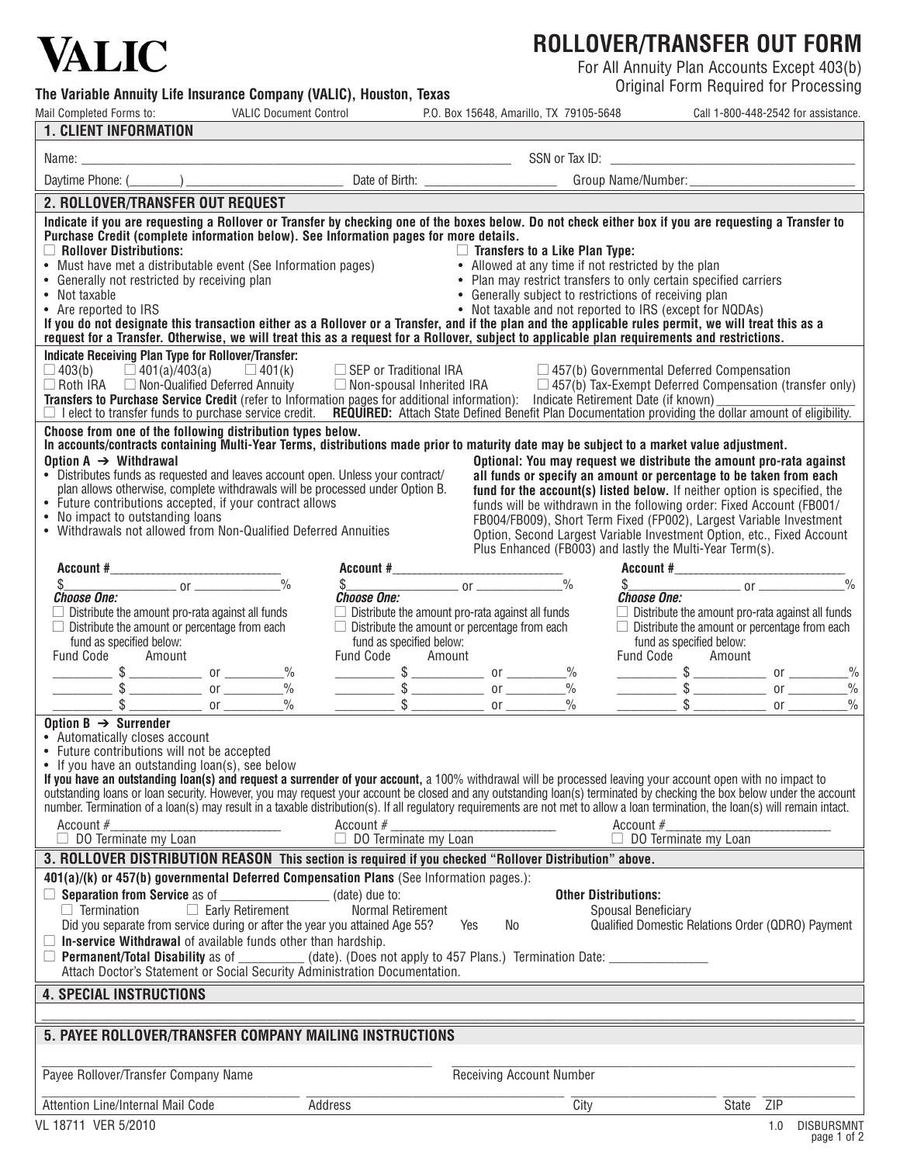# **VALIC**

The Variable Annuity Life Insurance Company (VALIC), Houston, Texas

# **ROLLOVER/TRANSFER OUT FORM**

For All Annuity Plan Accounts Except 403(b)<br>Original Form Required for Processing

| Mail Completed Forms to:                                                                                                                                                                                                                                                                                                                                    | <b>VALIC Document Control</b>                                     |                                                         |                                 | P.O. Box 15648, Amarillo, TX 79105-5648 |                                                                                                                                                                                                                                                                                                                                                                                                                                                                                                                                                                | Call 1-800-448-2542 for assistance. |                   |
|-------------------------------------------------------------------------------------------------------------------------------------------------------------------------------------------------------------------------------------------------------------------------------------------------------------------------------------------------------------|-------------------------------------------------------------------|---------------------------------------------------------|---------------------------------|-----------------------------------------|----------------------------------------------------------------------------------------------------------------------------------------------------------------------------------------------------------------------------------------------------------------------------------------------------------------------------------------------------------------------------------------------------------------------------------------------------------------------------------------------------------------------------------------------------------------|-------------------------------------|-------------------|
| <b>1. CLIENT INFORMATION</b>                                                                                                                                                                                                                                                                                                                                |                                                                   |                                                         |                                 |                                         |                                                                                                                                                                                                                                                                                                                                                                                                                                                                                                                                                                |                                     |                   |
|                                                                                                                                                                                                                                                                                                                                                             |                                                                   |                                                         |                                 |                                         |                                                                                                                                                                                                                                                                                                                                                                                                                                                                                                                                                                |                                     |                   |
|                                                                                                                                                                                                                                                                                                                                                             |                                                                   |                                                         |                                 |                                         |                                                                                                                                                                                                                                                                                                                                                                                                                                                                                                                                                                |                                     |                   |
| 2. ROLLOVER/TRANSFER OUT REQUEST                                                                                                                                                                                                                                                                                                                            |                                                                   |                                                         |                                 |                                         |                                                                                                                                                                                                                                                                                                                                                                                                                                                                                                                                                                |                                     |                   |
| Indicate if you are requesting a Rollover or Transfer by checking one of the boxes below. Do not check either box if you are requesting a Transfer to                                                                                                                                                                                                       |                                                                   |                                                         |                                 |                                         |                                                                                                                                                                                                                                                                                                                                                                                                                                                                                                                                                                |                                     |                   |
| Purchase Credit (complete information below). See Information pages for more details.                                                                                                                                                                                                                                                                       |                                                                   |                                                         |                                 |                                         |                                                                                                                                                                                                                                                                                                                                                                                                                                                                                                                                                                |                                     |                   |
| $\Box$ Rollover Distributions:<br>$\Box$ <code>no</code> ilover <code>uistributions:</code> • Must have met a distributable event (See Information pages)                                                                                                                                                                                                   |                                                                   |                                                         |                                 | $\Box$ Transfers to a Like Plan Type:   |                                                                                                                                                                                                                                                                                                                                                                                                                                                                                                                                                                |                                     |                   |
| • Generally not restricted by receiving plan                                                                                                                                                                                                                                                                                                                |                                                                   |                                                         |                                 |                                         | • Allowed at any time if not restricted by the plan<br>• Plan may restrict transfers to only certain specified carriers                                                                                                                                                                                                                                                                                                                                                                                                                                        |                                     |                   |
| • Not taxable                                                                                                                                                                                                                                                                                                                                               |                                                                   |                                                         |                                 |                                         | • Generally subject to restrictions of receiving plan                                                                                                                                                                                                                                                                                                                                                                                                                                                                                                          |                                     |                   |
| • Are reported to IRS                                                                                                                                                                                                                                                                                                                                       |                                                                   |                                                         |                                 |                                         | • Not taxable and not reported to IRS (except for NQDAs)                                                                                                                                                                                                                                                                                                                                                                                                                                                                                                       |                                     |                   |
| If you do not designate this transaction either as a Rollover or a Transfer, and if the plan and the applicable rules permit, we will treat this as a<br>request for a Transfer. Otherwise, we will treat this as a request for a Rollover, subject to applicable plan requirements and restrictions.                                                       |                                                                   |                                                         |                                 |                                         |                                                                                                                                                                                                                                                                                                                                                                                                                                                                                                                                                                |                                     |                   |
| Indicate Receiving Plan Type for Rollover/Transfer:                                                                                                                                                                                                                                                                                                         |                                                                   |                                                         |                                 |                                         |                                                                                                                                                                                                                                                                                                                                                                                                                                                                                                                                                                |                                     |                   |
| $\Box$ 403(b) $\Box$ 401(a)/403(a) $\Box$ 401(k) $\Box$ SEP or Traditional IRA                                                                                                                                                                                                                                                                              |                                                                   |                                                         |                                 |                                         | $\Box$ 457(b) Governmental Deferred Compensation                                                                                                                                                                                                                                                                                                                                                                                                                                                                                                               |                                     |                   |
| □ Roth IRA □ Non-Qualified Deferred Annuity □ Non-spousal Inherited IRA □ 457(b) Tax-Exempt Deferred Compensation (transfer only)                                                                                                                                                                                                                           |                                                                   |                                                         |                                 |                                         |                                                                                                                                                                                                                                                                                                                                                                                                                                                                                                                                                                |                                     |                   |
| Transfers to Purchase Service Credit (refer to Information pages for additional information): Indicate Retirement Date (if known)<br>□ I elect to transfer funds to purchase service credit. REQUIRED: Attach State Defined Benefit Plan Documentation providing the dollar amount of eligibility.                                                          |                                                                   |                                                         |                                 |                                         |                                                                                                                                                                                                                                                                                                                                                                                                                                                                                                                                                                |                                     |                   |
| Choose from one of the following distribution types below.                                                                                                                                                                                                                                                                                                  |                                                                   |                                                         |                                 |                                         |                                                                                                                                                                                                                                                                                                                                                                                                                                                                                                                                                                |                                     |                   |
| In accounts/contracts containing Multi-Year Terms, distributions made prior to maturity date may be subject to a market value adjustment.                                                                                                                                                                                                                   |                                                                   |                                                         |                                 |                                         |                                                                                                                                                                                                                                                                                                                                                                                                                                                                                                                                                                |                                     |                   |
| Option $A \rightarrow$ Withdrawal                                                                                                                                                                                                                                                                                                                           |                                                                   |                                                         |                                 |                                         | Optional: You may request we distribute the amount pro-rata against                                                                                                                                                                                                                                                                                                                                                                                                                                                                                            |                                     |                   |
| • Distributes funds as requested and leaves account open. Unless your contract/<br>plan allows otherwise, complete withdrawals will be processed under Option B.                                                                                                                                                                                            |                                                                   |                                                         |                                 |                                         | all funds or specify an amount or percentage to be taken from each<br>fund for the account(s) listed below. If neither option is specified, the                                                                                                                                                                                                                                                                                                                                                                                                                |                                     |                   |
| • Future contributions accepted, if your contract allows                                                                                                                                                                                                                                                                                                    |                                                                   |                                                         |                                 |                                         | funds will be withdrawn in the following order: Fixed Account (FB001/                                                                                                                                                                                                                                                                                                                                                                                                                                                                                          |                                     |                   |
| • No impact to outstanding loans                                                                                                                                                                                                                                                                                                                            |                                                                   |                                                         |                                 |                                         | FB004/FB009), Short Term Fixed (FP002), Largest Variable Investment                                                                                                                                                                                                                                                                                                                                                                                                                                                                                            |                                     |                   |
| • Withdrawals not allowed from Non-Qualified Deferred Annuities                                                                                                                                                                                                                                                                                             |                                                                   |                                                         |                                 |                                         | Option, Second Largest Variable Investment Option, etc., Fixed Account                                                                                                                                                                                                                                                                                                                                                                                                                                                                                         |                                     |                   |
|                                                                                                                                                                                                                                                                                                                                                             |                                                                   |                                                         |                                 |                                         | Plus Enhanced (FB003) and lastly the Multi-Year Term(s).<br>$\frac{1}{\text{Account } # \_\_}\ \ \ \frac{1}{\text{Account } # \_\_}\ \ \ \frac{1}{\text{weight } # \_\_}\ \ \ \frac{1}{\text{weight } # \_\_}\ \ \ \frac{1}{\text{weight } # \_\_}\ \ \ \frac{1}{\text{weight } # \_\_}\ \ \ \frac{1}{\text{weight } # \_\_}\ \ \ \frac{1}{\text{weight } # \_\_}\ \ \ \frac{1}{\text{weight } # \_\_}\ \ \ \frac{1}{\text{weight } # \_\_}\ \ \ \frac{1}{\text{weight } # \_\_}\ \ \ \frac{1}{\text{weight } # \_\_}\ \ \ \frac{1}{\text{weight } # \_\_}\ \$ |                                     |                   |
|                                                                                                                                                                                                                                                                                                                                                             |                                                                   |                                                         |                                 |                                         |                                                                                                                                                                                                                                                                                                                                                                                                                                                                                                                                                                |                                     |                   |
| <b>Choose One:</b>                                                                                                                                                                                                                                                                                                                                          |                                                                   | $\frac{\S}{\S}$ or $\frac{\S}{\S}$ or $\frac{\S}{\S}$   |                                 |                                         | $\frac{\$}{\$}$ or $\frac{\$}{\$}$                                                                                                                                                                                                                                                                                                                                                                                                                                                                                                                             |                                     |                   |
| $\Box$ Distribute the amount pro-rata against all funds                                                                                                                                                                                                                                                                                                     |                                                                   | $\Box$ Distribute the amount pro-rata against all funds |                                 |                                         | $\Box$ Distribute the amount pro-rata against all funds                                                                                                                                                                                                                                                                                                                                                                                                                                                                                                        |                                     |                   |
| $\Box$ Distribute the amount or percentage from each                                                                                                                                                                                                                                                                                                        |                                                                   | $\Box$ Distribute the amount or percentage from each    |                                 |                                         | $\Box$ Distribute the amount or percentage from each                                                                                                                                                                                                                                                                                                                                                                                                                                                                                                           |                                     |                   |
| fund as specified below:<br>Fund Code Amount                                                                                                                                                                                                                                                                                                                |                                                                   | fund as specified below:<br>Fund Code Amount            |                                 |                                         | fund as specified below:<br>Fund Code Amount                                                                                                                                                                                                                                                                                                                                                                                                                                                                                                                   |                                     |                   |
|                                                                                                                                                                                                                                                                                                                                                             |                                                                   |                                                         |                                 |                                         |                                                                                                                                                                                                                                                                                                                                                                                                                                                                                                                                                                |                                     |                   |
|                                                                                                                                                                                                                                                                                                                                                             |                                                                   |                                                         |                                 |                                         |                                                                                                                                                                                                                                                                                                                                                                                                                                                                                                                                                                |                                     |                   |
| $\frac{$}{3}$ $\frac{$}{3}$ or $\frac{9}{3}$ or $\frac{9}{3}$ $\frac{3}{3}$ or $\frac{9}{3}$ $\frac{3}{3}$ or $\frac{9}{3}$ or $\frac{9}{3}$ or $\frac{9}{3}$ or $\frac{9}{3}$ or $\frac{9}{3}$ or $\frac{9}{3}$ or $\frac{9}{3}$ or $\frac{9}{3}$ or $\frac{9}{3}$ or $\frac{9}{3}$ or $\frac{9}{3}$ o                                                     |                                                                   |                                                         |                                 |                                         |                                                                                                                                                                                                                                                                                                                                                                                                                                                                                                                                                                |                                     |                   |
| Option $B \rightarrow$ Surrender                                                                                                                                                                                                                                                                                                                            |                                                                   |                                                         |                                 |                                         |                                                                                                                                                                                                                                                                                                                                                                                                                                                                                                                                                                |                                     |                   |
| • Automatically closes account<br>• Future contributions will not be accepted                                                                                                                                                                                                                                                                               |                                                                   |                                                         |                                 |                                         |                                                                                                                                                                                                                                                                                                                                                                                                                                                                                                                                                                |                                     |                   |
| • If you have an outstanding loan(s), see below                                                                                                                                                                                                                                                                                                             |                                                                   |                                                         |                                 |                                         |                                                                                                                                                                                                                                                                                                                                                                                                                                                                                                                                                                |                                     |                   |
| If you have an outstanding loan(s) and request a surrender of your account, a 100% withdrawal will be processed leaving your account open with no impact to                                                                                                                                                                                                 |                                                                   |                                                         |                                 |                                         |                                                                                                                                                                                                                                                                                                                                                                                                                                                                                                                                                                |                                     |                   |
| outstanding loans or loan security. However, you may request your account be closed and any outstanding loan(s) terminated by checking the box below under the account<br>number. Termination of a loan(s) may result in a taxable distribution(s). If all regulatory requirements are not met to allow a loan termination, the loan(s) will remain intact. |                                                                   |                                                         |                                 |                                         |                                                                                                                                                                                                                                                                                                                                                                                                                                                                                                                                                                |                                     |                   |
| Account $#$                                                                                                                                                                                                                                                                                                                                                 |                                                                   | Account $#$                                             |                                 |                                         | Account $#$                                                                                                                                                                                                                                                                                                                                                                                                                                                                                                                                                    |                                     |                   |
| $\Box$ DO Terminate my Loan                                                                                                                                                                                                                                                                                                                                 |                                                                   | $\Box$ DO Terminate my Loan                             |                                 |                                         | $\Box$ DO Terminate my Loan                                                                                                                                                                                                                                                                                                                                                                                                                                                                                                                                    |                                     |                   |
| 3. ROLLOVER DISTRIBUTION REASON This section is required if you checked "Rollover Distribution" above.                                                                                                                                                                                                                                                      |                                                                   |                                                         |                                 |                                         |                                                                                                                                                                                                                                                                                                                                                                                                                                                                                                                                                                |                                     |                   |
| 401(a)/(k) or 457(b) governmental Deferred Compensation Plans (See Information pages.):                                                                                                                                                                                                                                                                     |                                                                   |                                                         |                                 |                                         |                                                                                                                                                                                                                                                                                                                                                                                                                                                                                                                                                                |                                     |                   |
| $\Box$ Separation from Service as of $\Box$                                                                                                                                                                                                                                                                                                                 |                                                                   | (date) due to:                                          |                                 | <b>Other Distributions:</b>             |                                                                                                                                                                                                                                                                                                                                                                                                                                                                                                                                                                |                                     |                   |
| $\Box$ Termination                                                                                                                                                                                                                                                                                                                                          | Early Retirement                                                  | Normal Retirement                                       |                                 |                                         | Spousal Beneficiary                                                                                                                                                                                                                                                                                                                                                                                                                                                                                                                                            |                                     |                   |
| Did you separate from service during or after the year you attained Age 55?                                                                                                                                                                                                                                                                                 |                                                                   |                                                         | Yes<br>No.                      |                                         | Qualified Domestic Relations Order (QDRO) Payment                                                                                                                                                                                                                                                                                                                                                                                                                                                                                                              |                                     |                   |
| $\Box$ In-service Withdrawal of available funds other than hardship.<br><b>Permanent/Total Disability as of __</b>                                                                                                                                                                                                                                          | (date). (Does not apply to 457 Plans.) Termination Date: ________ |                                                         |                                 |                                         |                                                                                                                                                                                                                                                                                                                                                                                                                                                                                                                                                                |                                     |                   |
| Attach Doctor's Statement or Social Security Administration Documentation.                                                                                                                                                                                                                                                                                  |                                                                   |                                                         |                                 |                                         |                                                                                                                                                                                                                                                                                                                                                                                                                                                                                                                                                                |                                     |                   |
| <b>4. SPECIAL INSTRUCTIONS</b>                                                                                                                                                                                                                                                                                                                              |                                                                   |                                                         |                                 |                                         |                                                                                                                                                                                                                                                                                                                                                                                                                                                                                                                                                                |                                     |                   |
|                                                                                                                                                                                                                                                                                                                                                             |                                                                   |                                                         |                                 |                                         |                                                                                                                                                                                                                                                                                                                                                                                                                                                                                                                                                                |                                     |                   |
| 5. PAYEE ROLLOVER/TRANSFER COMPANY MAILING INSTRUCTIONS                                                                                                                                                                                                                                                                                                     |                                                                   |                                                         |                                 |                                         |                                                                                                                                                                                                                                                                                                                                                                                                                                                                                                                                                                |                                     |                   |
|                                                                                                                                                                                                                                                                                                                                                             |                                                                   |                                                         |                                 |                                         |                                                                                                                                                                                                                                                                                                                                                                                                                                                                                                                                                                |                                     |                   |
| Payee Rollover/Transfer Company Name                                                                                                                                                                                                                                                                                                                        |                                                                   |                                                         | <b>Receiving Account Number</b> |                                         |                                                                                                                                                                                                                                                                                                                                                                                                                                                                                                                                                                |                                     |                   |
| Attention Line/Internal Mail Code                                                                                                                                                                                                                                                                                                                           | Address                                                           |                                                         |                                 | City                                    |                                                                                                                                                                                                                                                                                                                                                                                                                                                                                                                                                                | ZIP<br>State                        |                   |
| VL 18711 VER 5/2010                                                                                                                                                                                                                                                                                                                                         |                                                                   |                                                         |                                 |                                         |                                                                                                                                                                                                                                                                                                                                                                                                                                                                                                                                                                | 1.0                                 | <b>DISBURSMNT</b> |
|                                                                                                                                                                                                                                                                                                                                                             |                                                                   |                                                         |                                 |                                         |                                                                                                                                                                                                                                                                                                                                                                                                                                                                                                                                                                |                                     |                   |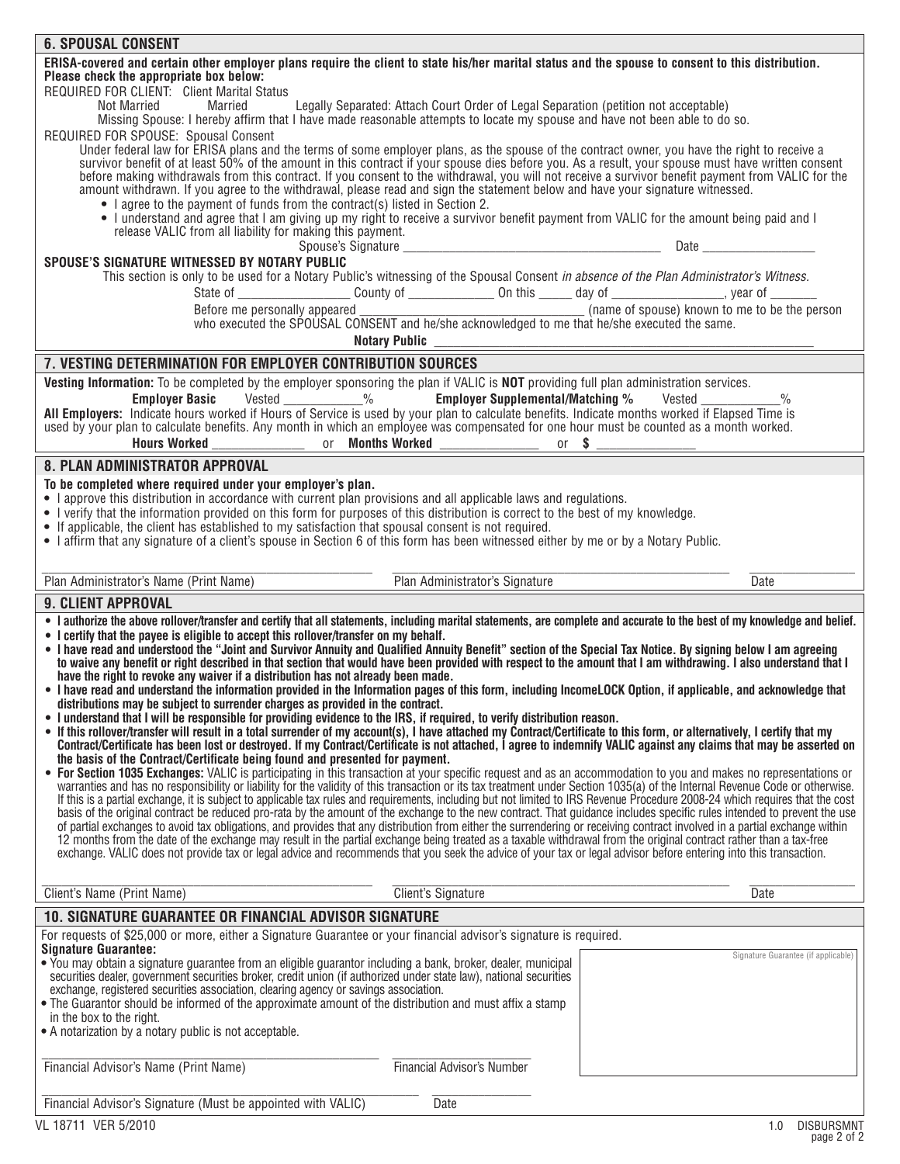| <b>6. SPOUSAL CONSENT</b>                                                                                                                                                                                                                                                                                                                        |                                                                                     |                                                             |
|--------------------------------------------------------------------------------------------------------------------------------------------------------------------------------------------------------------------------------------------------------------------------------------------------------------------------------------------------|-------------------------------------------------------------------------------------|-------------------------------------------------------------|
| ERISA-covered and certain other employer plans require the client to state his/her marital status and the spouse to consent to this distribution.<br>Please check the appropriate box below:                                                                                                                                                     |                                                                                     |                                                             |
| REQUIRED FOR CLIENT: Client Marital Status                                                                                                                                                                                                                                                                                                       |                                                                                     |                                                             |
| <b>Not Married</b><br>Married<br>Missing Spouse: I hereby affirm that I have made reasonable attempts to locate my spouse and have not been able to do so.                                                                                                                                                                                       | Legally Separated: Attach Court Order of Legal Separation (petition not acceptable) |                                                             |
| REQUIRED FOR SPOUSE: Spousal Consent                                                                                                                                                                                                                                                                                                             |                                                                                     |                                                             |
| Under federal law for ERISA plans and the terms of some employer plans, as the spouse of the contract owner, you have the right to receive a                                                                                                                                                                                                     |                                                                                     |                                                             |
| survivor benefit of at least 50% of the amount in this contract if your spouse dies before you. As a result, your spouse must have written consent                                                                                                                                                                                               |                                                                                     |                                                             |
| before making withdrawals from this contract. If you consent to the withdrawal, you will not receive a survivor benefit payment from VALIC for the<br>amount withdrawn. If you agree to the withdrawal, please read and sign the statement below and have your signature witnessed.                                                              |                                                                                     |                                                             |
| • I agree to the payment of funds from the contract(s) listed in Section 2.                                                                                                                                                                                                                                                                      |                                                                                     |                                                             |
| • I understand and agree that I am giving up my right to receive a survivor benefit payment from VALIC for the amount being paid and I                                                                                                                                                                                                           |                                                                                     |                                                             |
| release VALIC from all liability for making this payment.                                                                                                                                                                                                                                                                                        |                                                                                     |                                                             |
| SPOUSE'S SIGNATURE WITNESSED BY NOTARY PUBLIC                                                                                                                                                                                                                                                                                                    |                                                                                     |                                                             |
| This section is only to be used for a Notary Public's witnessing of the Spousal Consent in absence of the Plan Administrator's Witness.                                                                                                                                                                                                          |                                                                                     |                                                             |
|                                                                                                                                                                                                                                                                                                                                                  |                                                                                     |                                                             |
|                                                                                                                                                                                                                                                                                                                                                  |                                                                                     |                                                             |
|                                                                                                                                                                                                                                                                                                                                                  | <b>Notary Public</b>                                                                |                                                             |
|                                                                                                                                                                                                                                                                                                                                                  |                                                                                     |                                                             |
| 7. VESTING DETERMINATION FOR EMPLOYER CONTRIBUTION SOURCES                                                                                                                                                                                                                                                                                       |                                                                                     |                                                             |
| Vesting Information: To be completed by the employer sponsoring the plan if VALIC is NOT providing full plan administration services.<br>Employer Basic Vested ___________%                                                                                                                                                                      |                                                                                     | <b>Employer Supplemental/Matching %</b> Vested ____________ |
| All Employers: Indicate hours worked if Hours of Service is used by your plan to calculate benefits. Indicate months worked if Elapsed Time is                                                                                                                                                                                                   |                                                                                     |                                                             |
| used by your plan to calculate benefits. Any month in which an employee was compensated for one hour must be counted as a month worked.                                                                                                                                                                                                          |                                                                                     |                                                             |
|                                                                                                                                                                                                                                                                                                                                                  |                                                                                     |                                                             |
| 8. PLAN ADMINISTRATOR APPROVAL                                                                                                                                                                                                                                                                                                                   |                                                                                     |                                                             |
| To be completed where required under your employer's plan.                                                                                                                                                                                                                                                                                       |                                                                                     |                                                             |
| • I approve this distribution in accordance with current plan provisions and all applicable laws and regulations.<br>• I verify that the information provided on this form for purposes of this distribution is correct to the best of my knowledge.                                                                                             |                                                                                     |                                                             |
| • If applicable, the client has established to my satisfaction that spousal consent is not required.                                                                                                                                                                                                                                             |                                                                                     |                                                             |
| • I affirm that any signature of a client's spouse in Section 6 of this form has been witnessed either by me or by a Notary Public.                                                                                                                                                                                                              |                                                                                     |                                                             |
|                                                                                                                                                                                                                                                                                                                                                  |                                                                                     |                                                             |
|                                                                                                                                                                                                                                                                                                                                                  |                                                                                     |                                                             |
| Plan Administrator's Name (Print Name)                                                                                                                                                                                                                                                                                                           | Plan Administrator's Signature                                                      | <b>Date</b>                                                 |
| <b>9. CLIENT APPROVAL</b>                                                                                                                                                                                                                                                                                                                        |                                                                                     |                                                             |
| . I authorize the above rollover/transfer and certify that all statements, including marital statements, are complete and accurate to the best of my knowledge and belief.                                                                                                                                                                       |                                                                                     |                                                             |
| • I certify that the payee is eligible to accept this rollover/transfer on my behalf.                                                                                                                                                                                                                                                            |                                                                                     |                                                             |
| . I have read and understood the "Joint and Survivor Annuity and Qualified Annuity Benefit" section of the Special Tax Notice. By signing below I am agreeing                                                                                                                                                                                    |                                                                                     |                                                             |
| to waive any benefit or right described in that section that would have been provided with respect to the amount that I am withdrawing. I also understand that I<br>have the right to revoke any waiver if a distribution has not already been made.                                                                                             |                                                                                     |                                                             |
| . I have read and understand the information provided in the Information pages of this form, including IncomeLOCK Option, if applicable, and acknowledge that                                                                                                                                                                                    |                                                                                     |                                                             |
| distributions may be subject to surrender charges as provided in the contract.                                                                                                                                                                                                                                                                   |                                                                                     |                                                             |
| . I understand that I will be responsible for providing evidence to the IRS, if required, to verify distribution reason.<br>• If this rollover/transfer will result in a total surrender of my account(s), I have attached my Contract/Certificate to this form, or alternatively, I certify that my                                             |                                                                                     |                                                             |
| Contract/Certificate has been lost or destroyed. If my Contract/Certificate is not attached, I agree to indemnify VALIC against any claims that may be asserted on                                                                                                                                                                               |                                                                                     |                                                             |
| the basis of the Contract/Certificate being found and presented for payment.                                                                                                                                                                                                                                                                     |                                                                                     |                                                             |
| • For Section 1035 Exchanges: VALIC is participating in this transaction at your specific request and as an accommodation to you and makes no representations or<br>warranties and has no responsibility or liability for the validity of this transaction or its tax treatment under Section 1035(a) of the Internal Revenue Code or otherwise. |                                                                                     |                                                             |
| If this is a partial exchange, it is subject to applicable tax rules and requirements, including but not limited to IRS Revenue Procedure 2008-24 which requires that the cost                                                                                                                                                                   |                                                                                     |                                                             |
| basis of the original contract be reduced pro-rata by the amount of the exchange to the new contract. That guidance includes specific rules intended to prevent the use                                                                                                                                                                          |                                                                                     |                                                             |
| of partial exchanges to avoid tax obligations, and provides that any distribution from either the surrendering or receiving contract involved in a partial exchange within<br>12 months from the date of the exchange may result in the partial exchange being treated as a taxable withdrawal from the original contract rather than a tax-free |                                                                                     |                                                             |
| exchange. VALIC does not provide tax or legal advice and recommends that you seek the advice of your tax or legal advisor before entering into this transaction.                                                                                                                                                                                 |                                                                                     |                                                             |
|                                                                                                                                                                                                                                                                                                                                                  |                                                                                     |                                                             |
| Client's Name (Print Name)                                                                                                                                                                                                                                                                                                                       | <b>Client's Signature</b>                                                           | Date                                                        |
| <b>10. SIGNATURE GUARANTEE OR FINANCIAL ADVISOR SIGNATURE</b>                                                                                                                                                                                                                                                                                    |                                                                                     |                                                             |
| For requests of \$25,000 or more, either a Signature Guarantee or your financial advisor's signature is required.                                                                                                                                                                                                                                |                                                                                     |                                                             |
| <b>Signature Guarantee:</b><br>• You may obtain a signature guarantee from an eligible guarantor including a bank, broker, dealer, municipal                                                                                                                                                                                                     |                                                                                     | Signature Guarantee (if applicable                          |
| securities dealer, government securities broker, credit union (if authorized under state law), national securities                                                                                                                                                                                                                               |                                                                                     |                                                             |
| exchange, registered securities association, clearing agency or savings association.                                                                                                                                                                                                                                                             |                                                                                     |                                                             |
| • The Guarantor should be informed of the approximate amount of the distribution and must affix a stamp<br>in the box to the right.                                                                                                                                                                                                              |                                                                                     |                                                             |
| • A notarization by a notary public is not acceptable.                                                                                                                                                                                                                                                                                           |                                                                                     |                                                             |
|                                                                                                                                                                                                                                                                                                                                                  |                                                                                     |                                                             |
| Financial Advisor's Name (Print Name)                                                                                                                                                                                                                                                                                                            | <b>Financial Advisor's Number</b>                                                   |                                                             |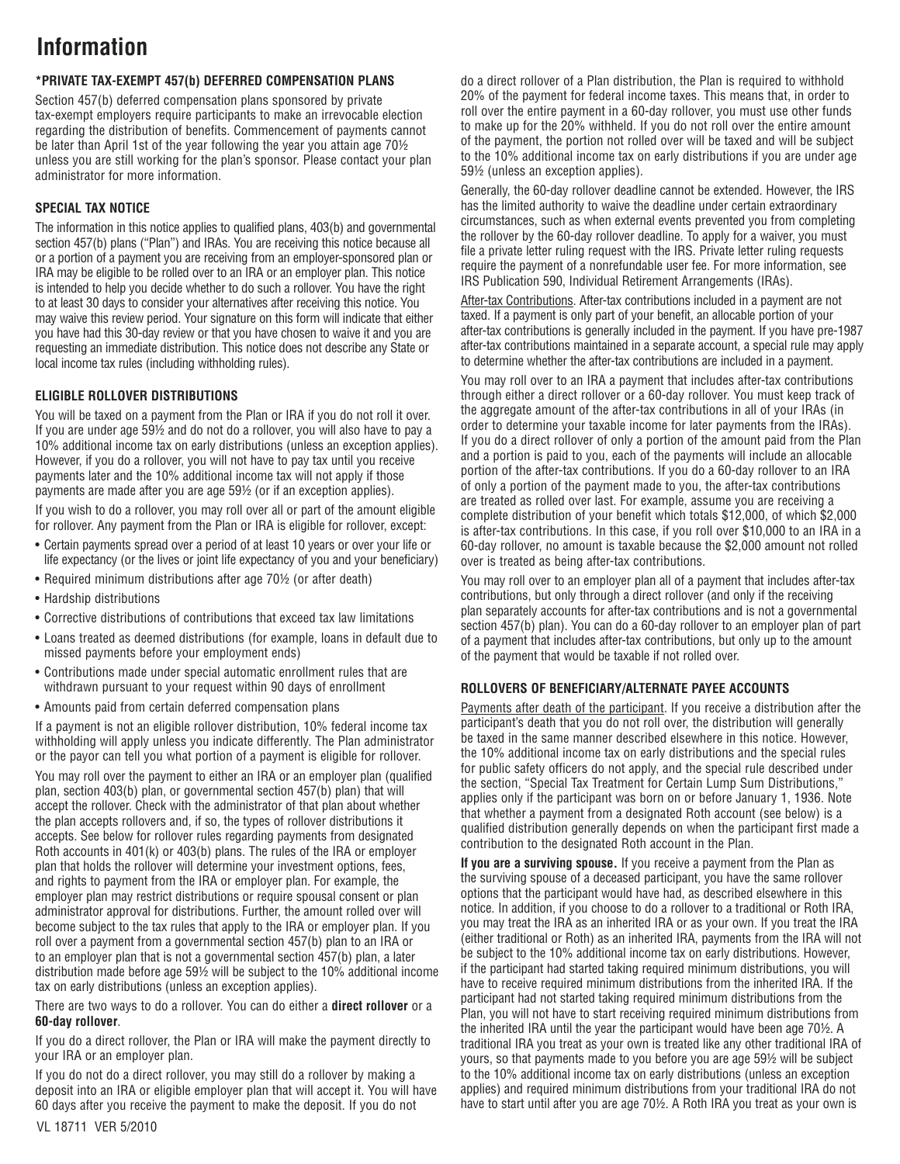# **Information**

# **\*PRIVATE TAX-EXEMPT 457(b) DEFERRED COMPENSATION PLANS**

Section 457(b) deferred compensation plans sponsored by private tax-exempt employers require participants to make an irrevocable election regarding the distribution of benefits. Commencement of payments cannot be later than April 1st of the year following the year you attain age 70½ unless you are still working for the plan's sponsor. Please contact your plan administrator for more information.

## **SPECIAL TAX NOTICE**

The information in this notice applies to qualified plans, 403(b) and governmental section 457(b) plans ("Plan") and IRAs. You are receiving this notice because all or a portion of a payment you are receiving from an employer-sponsored plan or IRA may be eligible to be rolled over to an IRA or an employer plan. This notice is intended to help you decide whether to do such a rollover. You have the right to at least 30 days to consider your alternatives after receiving this notice. You may waive this review period. Your signature on this form will indicate that either you have had this 30-day review or that you have chosen to waive it and you are requesting an immediate distribution. This notice does not describe any State or local income tax rules (including withholding rules).

# **ELIGIBLE ROLLOVER DISTRIBUTIONS**

You will be taxed on a payment from the Plan or IRA if you do not roll it over. If you are under age 59½ and do not do a rollover, you will also have to pay a 10% additional income tax on early distributions (unless an exception applies). However, if you do a rollover, you will not have to pay tax until you receive payments later and the 10% additional income tax will not apply if those payments are made after you are age 59½ (or if an exception applies). If you wish to do a rollover, you may roll over all or part of the amount eligible for rollover. Any payment from the Plan or IRA is eligible for rollover, except:

- Certain payments spread over a period of at least 10 years or over your life or life expectancy (or the lives or joint life expectancy of you and your beneficiary)
- Required minimum distributions after age 70½ (or after death)
- Hardship distributions
- Corrective distributions of contributions that exceed tax law limitations
- Loans treated as deemed distributions (for example, loans in default due to missed payments before your employment ends)
- Contributions made under special automatic enrollment rules that are withdrawn pursuant to your request within 90 days of enrollment
- Amounts paid from certain deferred compensation plans

If a payment is not an eligible rollover distribution, 10% federal income tax withholding will apply unless you indicate differently. The Plan administrator or the payor can tell you what portion of a payment is eligible for rollover.

You may roll over the payment to either an IRA or an employer plan (qualified plan, section 403(b) plan, or governmental section 457(b) plan) that will accept the rollover. Check with the administrator of that plan about whether the plan accepts rollovers and, if so, the types of rollover distributions it accepts. See below for rollover rules regarding payments from designated Roth accounts in 401(k) or 403(b) plans. The rules of the IRA or employer plan that holds the rollover will determine your investment options, fees, and rights to payment from the IRA or employer plan. For example, the employer plan may restrict distributions or require spousal consent or plan administrator approval for distributions. Further, the amount rolled over will become subject to the tax rules that apply to the IRA or employer plan. If you roll over a payment from a governmental section 457(b) plan to an IRA or to an employer plan that is not a governmental section 457(b) plan, a later distribution made before age 59½ will be subject to the 10% additional income tax on early distributions (unless an exception applies).

There are two ways to do a rollover. You can do either a **direct rollover** or a **60-day rollover**.

If you do a direct rollover, the Plan or IRA will make the payment directly to your IRA or an employer plan.

If you do not do a direct rollover, you may still do a rollover by making a deposit into an IRA or eligible employer plan that will accept it. You will have 60 days after you receive the payment to make the deposit. If you do not

do a direct rollover of a Plan distribution, the Plan is required to withhold 20% of the payment for federal income taxes. This means that, in order to roll over the entire payment in a 60-day rollover, you must use other funds to make up for the 20% withheld. If you do not roll over the entire amount of the payment, the portion not rolled over will be taxed and will be subject to the 10% additional income tax on early distributions if you are under age 59½ (unless an exception applies).

Generally, the 60-day rollover deadline cannot be extended. However, the IRS has the limited authority to waive the deadline under certain extraordinary circumstances, such as when external events prevented you from completing the rollover by the 60-day rollover deadline. To apply for a waiver, you must file a private letter ruling request with the IRS. Private letter ruling requests require the payment of a nonrefundable user fee. For more information, see IRS Publication 590, Individual Retirement Arrangements (IRAs).

After-tax Contributions. After-tax contributions included in a payment are not taxed. If a payment is only part of your benefit, an allocable portion of your after-tax contributions is generally included in the payment. If you have pre-1987 after-tax contributions maintained in a separate account, a special rule may apply to determine whether the after-tax contributions are included in a payment.

You may roll over to an IRA a payment that includes after-tax contributions through either a direct rollover or a 60-day rollover. You must keep track of the aggregate amount of the after-tax contributions in all of your IRAs (in order to determine your taxable income for later payments from the IRAs). If you do a direct rollover of only a portion of the amount paid from the Plan and a portion is paid to you, each of the payments will include an allocable portion of the after-tax contributions. If you do a 60-day rollover to an IRA of only a portion of the payment made to you, the after-tax contributions are treated as rolled over last. For example, assume you are receiving a complete distribution of your benefit which totals \$12,000, of which \$2,000 is after-tax contributions. In this case, if you roll over \$10,000 to an IRA in a 60-day rollover, no amount is taxable because the \$2,000 amount not rolled over is treated as being after-tax contributions.

You may roll over to an employer plan all of a payment that includes after-tax contributions, but only through a direct rollover (and only if the receiving plan separately accounts for after-tax contributions and is not a governmental section 457(b) plan). You can do a 60-day rollover to an employer plan of part of a payment that includes after-tax contributions, but only up to the amount of the payment that would be taxable if not rolled over.

#### **ROLLOVERS OF BENEFICIARY/ALTERNATE PAYEE ACCOUNTS**

Payments after death of the participant. If you receive a distribution after the participant's death that you do not roll over, the distribution will generally be taxed in the same manner described elsewhere in this notice. However, the 10% additional income tax on early distributions and the special rules for public safety officers do not apply, and the special rule described under the section, "Special Tax Treatment for Certain Lump Sum Distributions," applies only if the participant was born on or before January 1, 1936. Note that whether a payment from a designated Roth account (see below) is a qualified distribution generally depends on when the participant first made a contribution to the designated Roth account in the Plan.

**If you are a surviving spouse.** If you receive a payment from the Plan as the surviving spouse of a deceased participant, you have the same rollover options that the participant would have had, as described elsewhere in this notice. In addition, if you choose to do a rollover to a traditional or Roth IRA, you may treat the IRA as an inherited IRA or as your own. If you treat the IRA (either traditional or Roth) as an inherited IRA, payments from the IRA will not be subject to the 10% additional income tax on early distributions. However, if the participant had started taking required minimum distributions, you will have to receive required minimum distributions from the inherited IRA. If the participant had not started taking required minimum distributions from the Plan, you will not have to start receiving required minimum distributions from the inherited IRA until the year the participant would have been age 70½. A traditional IRA you treat as your own is treated like any other traditional IRA of yours, so that payments made to you before you are age 59½ will be subject to the 10% additional income tax on early distributions (unless an exception applies) and required minimum distributions from your traditional IRA do not have to start until after you are age 70½. A Roth IRA you treat as your own is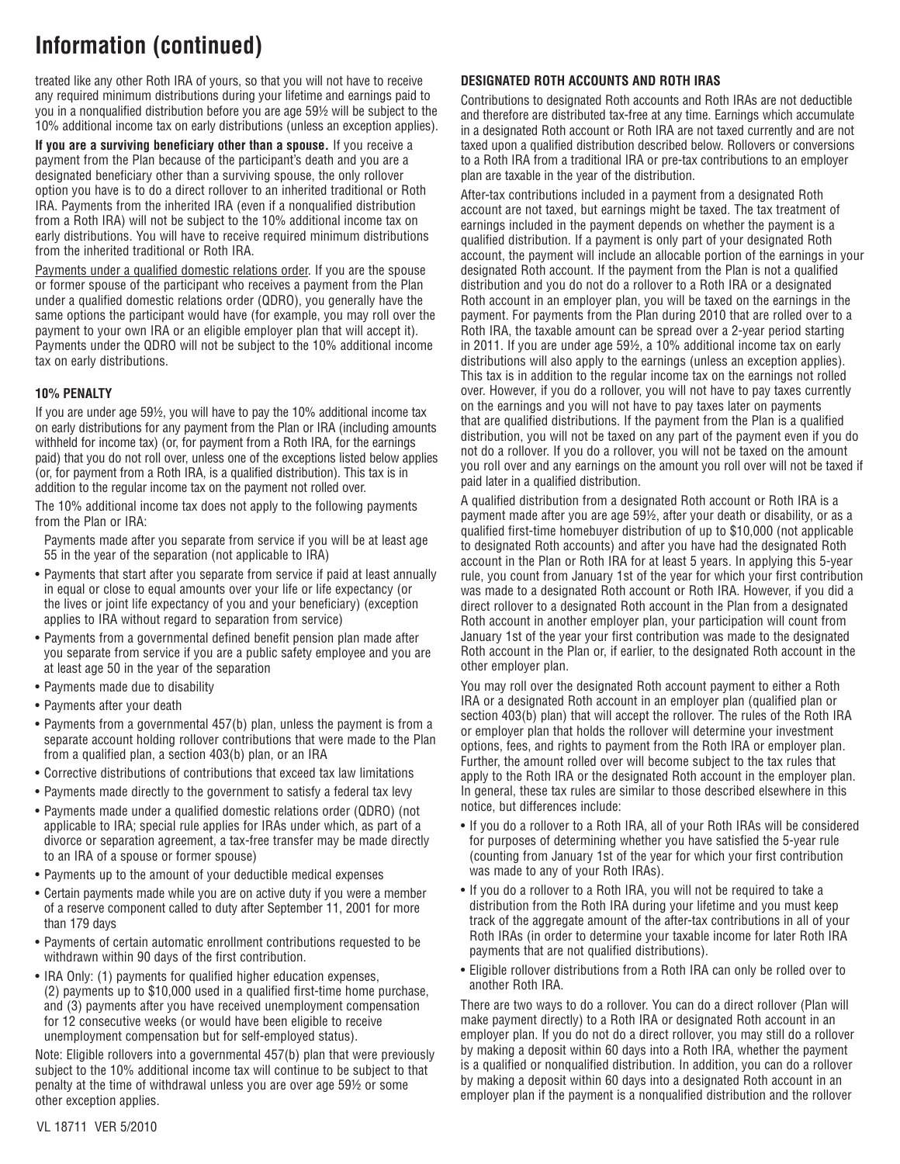# **Information (continued)**

treated like any other Roth IRA of yours, so that you will not have to receive any required minimum distributions during your lifetime and earnings paid to you in a nonqualified distribution before you are age 59½ will be subject to the 10% additional income tax on early distributions (unless an exception applies).

**If you are a surviving beneficiary other than a spouse.** If you receive a payment from the Plan because of the participant's death and you are a designated beneficiary other than a surviving spouse, the only rollover option you have is to do a direct rollover to an inherited traditional or Roth IRA. Payments from the inherited IRA (even if a nonqualified distribution from a Roth IRA) will not be subject to the 10% additional income tax on early distributions. You will have to receive required minimum distributions from the inherited traditional or Roth IRA.

Payments under a qualified domestic relations order. If you are the spouse or former spouse of the participant who receives a payment from the Plan under a qualified domestic relations order (QDRO), you generally have the same options the participant would have (for example, you may roll over the payment to your own IRA or an eligible employer plan that will accept it). Payments under the QDRO will not be subject to the 10% additional income tax on early distributions.

#### **10% PENALTY**

If you are under age 59½, you will have to pay the 10% additional income tax on early distributions for any payment from the Plan or IRA (including amounts withheld for income tax) (or, for payment from a Roth IRA, for the earnings paid) that you do not roll over, unless one of the exceptions listed below applies (or, for payment from a Roth IRA, is a qualified distribution). This tax is in addition to the regular income tax on the payment not rolled over.

The 10% additional income tax does not apply to the following payments from the Plan or IRA:

 Payments made after you separate from service if you will be at least age 55 in the year of the separation (not applicable to IRA)

- Payments that start after you separate from service if paid at least annually in equal or close to equal amounts over your life or life expectancy (or the lives or joint life expectancy of you and your beneficiary) (exception applies to IRA without regard to separation from service)
- Payments from a governmental defined benefit pension plan made after you separate from service if you are a public safety employee and you are at least age 50 in the year of the separation
- Payments made due to disability
- Payments after your death
- Payments from a governmental 457(b) plan, unless the payment is from a separate account holding rollover contributions that were made to the Plan from a qualified plan, a section 403(b) plan, or an IRA
- Corrective distributions of contributions that exceed tax law limitations
- Payments made directly to the government to satisfy a federal tax levy
- Payments made under a qualified domestic relations order (QDRO) (not applicable to IRA; special rule applies for IRAs under which, as part of a divorce or separation agreement, a tax-free transfer may be made directly to an IRA of a spouse or former spouse)
- Payments up to the amount of your deductible medical expenses
- Certain payments made while you are on active duty if you were a member of a reserve component called to duty after September 11, 2001 for more than 179 days
- Payments of certain automatic enrollment contributions requested to be withdrawn within 90 days of the first contribution.
- IRA Only: (1) payments for qualified higher education expenses, (2) payments up to \$10,000 used in a qualified first-time home purchase, and (3) payments after you have received unemployment compensation for 12 consecutive weeks (or would have been eligible to receive unemployment compensation but for self-employed status).

Note: Eligible rollovers into a governmental 457(b) plan that were previously subject to the 10% additional income tax will continue to be subject to that penalty at the time of withdrawal unless you are over age 59½ or some other exception applies.

### **DESIGNATED ROTH ACCOUNTS AND ROTH IRAS**

Contributions to designated Roth accounts and Roth IRAs are not deductible and therefore are distributed tax-free at any time. Earnings which accumulate in a designated Roth account or Roth IRA are not taxed currently and are not taxed upon a qualified distribution described below. Rollovers or conversions to a Roth IRA from a traditional IRA or pre-tax contributions to an employer plan are taxable in the year of the distribution.

After-tax contributions included in a payment from a designated Roth account are not taxed, but earnings might be taxed. The tax treatment of earnings included in the payment depends on whether the payment is a qualified distribution. If a payment is only part of your designated Roth account, the payment will include an allocable portion of the earnings in your designated Roth account. If the payment from the Plan is not a qualified distribution and you do not do a rollover to a Roth IRA or a designated Roth account in an employer plan, you will be taxed on the earnings in the payment. For payments from the Plan during 2010 that are rolled over to a Roth IRA, the taxable amount can be spread over a 2-year period starting in 2011. If you are under age 59½, a 10% additional income tax on early distributions will also apply to the earnings (unless an exception applies). This tax is in addition to the regular income tax on the earnings not rolled over. However, if you do a rollover, you will not have to pay taxes currently on the earnings and you will not have to pay taxes later on payments that are qualified distributions. If the payment from the Plan is a qualified distribution, you will not be taxed on any part of the payment even if you do not do a rollover. If you do a rollover, you will not be taxed on the amount you roll over and any earnings on the amount you roll over will not be taxed if paid later in a qualified distribution.

A qualified distribution from a designated Roth account or Roth IRA is a payment made after you are age 59½, after your death or disability, or as a qualified first-time homebuyer distribution of up to \$10,000 (not applicable to designated Roth accounts) and after you have had the designated Roth account in the Plan or Roth IRA for at least 5 years. In applying this 5-year rule, you count from January 1st of the year for which your first contribution was made to a designated Roth account or Roth IRA. However, if you did a direct rollover to a designated Roth account in the Plan from a designated Roth account in another employer plan, your participation will count from January 1st of the year your first contribution was made to the designated Roth account in the Plan or, if earlier, to the designated Roth account in the other employer plan.

You may roll over the designated Roth account payment to either a Roth IRA or a designated Roth account in an employer plan (qualified plan or section 403(b) plan) that will accept the rollover. The rules of the Roth IRA or employer plan that holds the rollover will determine your investment options, fees, and rights to payment from the Roth IRA or employer plan. Further, the amount rolled over will become subject to the tax rules that apply to the Roth IRA or the designated Roth account in the employer plan. In general, these tax rules are similar to those described elsewhere in this notice, but differences include:

- If you do a rollover to a Roth IRA, all of your Roth IRAs will be considered for purposes of determining whether you have satisfied the 5-year rule (counting from January 1st of the year for which your first contribution was made to any of your Roth IRAs).
- If you do a rollover to a Roth IRA, you will not be required to take a distribution from the Roth IRA during your lifetime and you must keep track of the aggregate amount of the after-tax contributions in all of your Roth IRAs (in order to determine your taxable income for later Roth IRA payments that are not qualified distributions).
- Eligible rollover distributions from a Roth IRA can only be rolled over to another Roth IRA.

There are two ways to do a rollover. You can do a direct rollover (Plan will make payment directly) to a Roth IRA or designated Roth account in an employer plan. If you do not do a direct rollover, you may still do a rollover by making a deposit within 60 days into a Roth IRA, whether the payment is a qualified or nonqualified distribution. In addition, you can do a rollover by making a deposit within 60 days into a designated Roth account in an employer plan if the payment is a nonqualified distribution and the rollover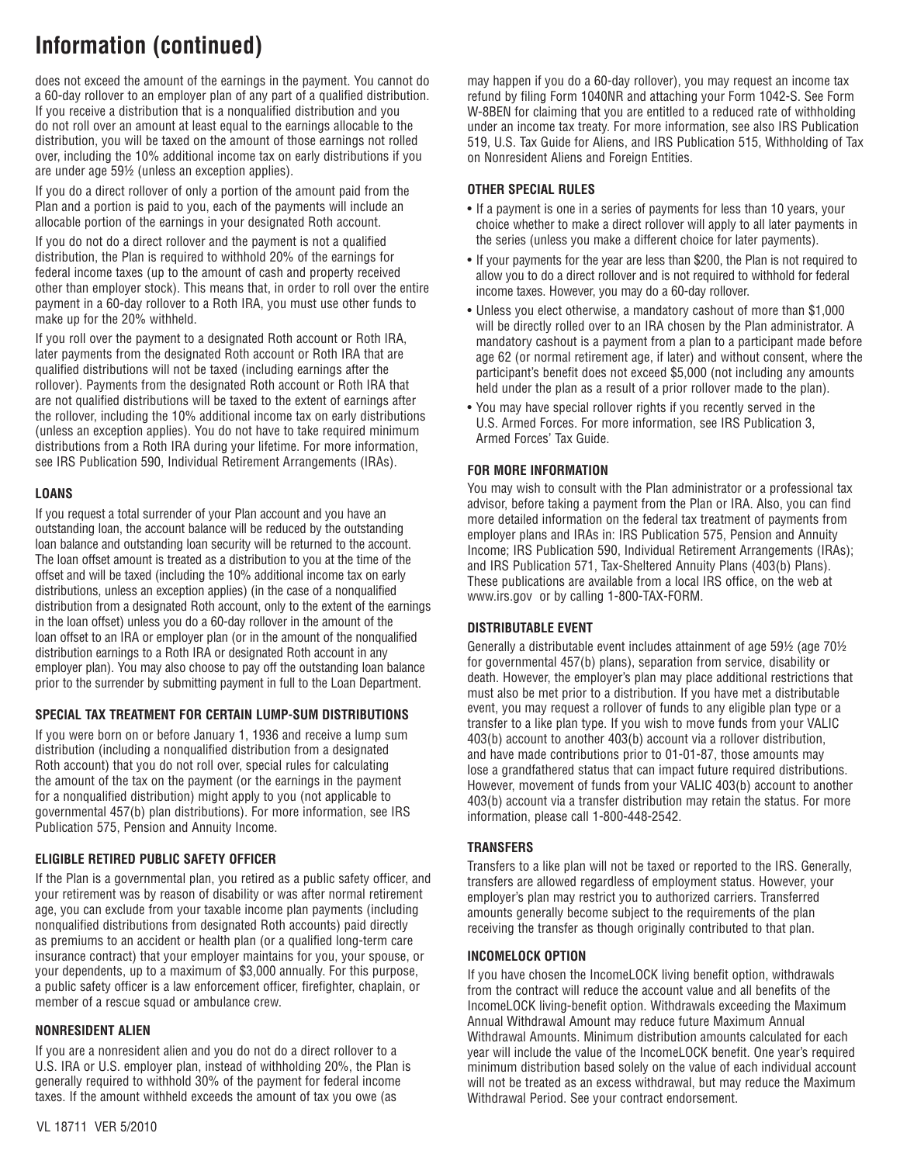# **Information (continued)**

does not exceed the amount of the earnings in the payment. You cannot do a 60-day rollover to an employer plan of any part of a qualified distribution. If you receive a distribution that is a nonqualified distribution and you do not roll over an amount at least equal to the earnings allocable to the distribution, you will be taxed on the amount of those earnings not rolled over, including the 10% additional income tax on early distributions if you are under age 59½ (unless an exception applies).

If you do a direct rollover of only a portion of the amount paid from the Plan and a portion is paid to you, each of the payments will include an allocable portion of the earnings in your designated Roth account.

If you do not do a direct rollover and the payment is not a qualified distribution, the Plan is required to withhold 20% of the earnings for federal income taxes (up to the amount of cash and property received other than employer stock). This means that, in order to roll over the entire payment in a 60-day rollover to a Roth IRA, you must use other funds to make up for the 20% withheld.

If you roll over the payment to a designated Roth account or Roth IRA, later payments from the designated Roth account or Roth IRA that are qualified distributions will not be taxed (including earnings after the rollover). Payments from the designated Roth account or Roth IRA that are not qualified distributions will be taxed to the extent of earnings after the rollover, including the 10% additional income tax on early distributions (unless an exception applies). You do not have to take required minimum distributions from a Roth IRA during your lifetime. For more information, see IRS Publication 590, Individual Retirement Arrangements (IRAs).

#### **LOANS**

If you request a total surrender of your Plan account and you have an outstanding loan, the account balance will be reduced by the outstanding loan balance and outstanding loan security will be returned to the account. The loan offset amount is treated as a distribution to you at the time of the offset and will be taxed (including the 10% additional income tax on early distributions, unless an exception applies) (in the case of a nonqualified distribution from a designated Roth account, only to the extent of the earnings in the loan offset) unless you do a 60-day rollover in the amount of the loan offset to an IRA or employer plan (or in the amount of the nonqualified distribution earnings to a Roth IRA or designated Roth account in any employer plan). You may also choose to pay off the outstanding loan balance prior to the surrender by submitting payment in full to the Loan Department.

#### **SPECIAL TAX TREATMENT FOR CERTAIN LUMP-SUM DISTRIBUTIONS**

If you were born on or before January 1, 1936 and receive a lump sum distribution (including a nonqualified distribution from a designated Roth account) that you do not roll over, special rules for calculating the amount of the tax on the payment (or the earnings in the payment for a nonqualified distribution) might apply to you (not applicable to governmental 457(b) plan distributions). For more information, see IRS Publication 575, Pension and Annuity Income.

### **ELIGIBLE RETIRED PUBLIC SAFETY OFFICER**

If the Plan is a governmental plan, you retired as a public safety officer, and your retirement was by reason of disability or was after normal retirement age, you can exclude from your taxable income plan payments (including nonqualified distributions from designated Roth accounts) paid directly as premiums to an accident or health plan (or a qualified long-term care insurance contract) that your employer maintains for you, your spouse, or your dependents, up to a maximum of \$3,000 annually. For this purpose, a public safety officer is a law enforcement officer, firefighter, chaplain, or member of a rescue squad or ambulance crew.

#### **NONRESIDENT ALIEN**

If you are a nonresident alien and you do not do a direct rollover to a U.S. IRA or U.S. employer plan, instead of withholding 20%, the Plan is generally required to withhold 30% of the payment for federal income taxes. If the amount withheld exceeds the amount of tax you owe (as

may happen if you do a 60-day rollover), you may request an income tax refund by filing Form 1040NR and attaching your Form 1042-S. See Form W-8BEN for claiming that you are entitled to a reduced rate of withholding under an income tax treaty. For more information, see also IRS Publication 519, U.S. Tax Guide for Aliens, and IRS Publication 515, Withholding of Tax on Nonresident Aliens and Foreign Entities.

#### **OTHER SPECIAL RULES**

- If a payment is one in a series of payments for less than 10 years, your choice whether to make a direct rollover will apply to all later payments in the series (unless you make a different choice for later payments).
- If your payments for the year are less than \$200, the Plan is not required to allow you to do a direct rollover and is not required to withhold for federal income taxes. However, you may do a 60-day rollover.
- Unless you elect otherwise, a mandatory cashout of more than \$1,000 will be directly rolled over to an IRA chosen by the Plan administrator. A mandatory cashout is a payment from a plan to a participant made before age 62 (or normal retirement age, if later) and without consent, where the participant's benefit does not exceed \$5,000 (not including any amounts held under the plan as a result of a prior rollover made to the plan).
- You may have special rollover rights if you recently served in the U.S. Armed Forces. For more information, see IRS Publication 3, Armed Forces' Tax Guide.

### **FOR MORE INFORMATION**

You may wish to consult with the Plan administrator or a professional tax advisor, before taking a payment from the Plan or IRA. Also, you can find more detailed information on the federal tax treatment of payments from employer plans and IRAs in: IRS Publication 575, Pension and Annuity Income; IRS Publication 590, Individual Retirement Arrangements (IRAs); and IRS Publication 571, Tax-Sheltered Annuity Plans (403(b) Plans). These publications are available from a local IRS office, on the web at www.irs.gov or by calling 1-800-TAX-FORM.

#### **DISTRIBUTABLE EVENT**

Generally a distributable event includes attainment of age 59½ (age 70½ for governmental 457(b) plans), separation from service, disability or death. However, the employer's plan may place additional restrictions that must also be met prior to a distribution. If you have met a distributable event, you may request a rollover of funds to any eligible plan type or a transfer to a like plan type. If you wish to move funds from your VALIC 403(b) account to another 403(b) account via a rollover distribution, and have made contributions prior to 01-01-87, those amounts may lose a grandfathered status that can impact future required distributions. However, movement of funds from your VALIC 403(b) account to another 403(b) account via a transfer distribution may retain the status. For more information, please call 1-800-448-2542.

### **TRANSFERS**

Transfers to a like plan will not be taxed or reported to the IRS. Generally, transfers are allowed regardless of employment status. However, your employer's plan may restrict you to authorized carriers. Transferred amounts generally become subject to the requirements of the plan receiving the transfer as though originally contributed to that plan.

#### **INCOMELOCK OPTION**

If you have chosen the IncomeLOCK living benefit option, withdrawals from the contract will reduce the account value and all benefits of the IncomeLOCK living-benefit option. Withdrawals exceeding the Maximum Annual Withdrawal Amount may reduce future Maximum Annual Withdrawal Amounts. Minimum distribution amounts calculated for each year will include the value of the IncomeLOCK benefit. One year's required minimum distribution based solely on the value of each individual account will not be treated as an excess withdrawal, but may reduce the Maximum Withdrawal Period. See your contract endorsement.